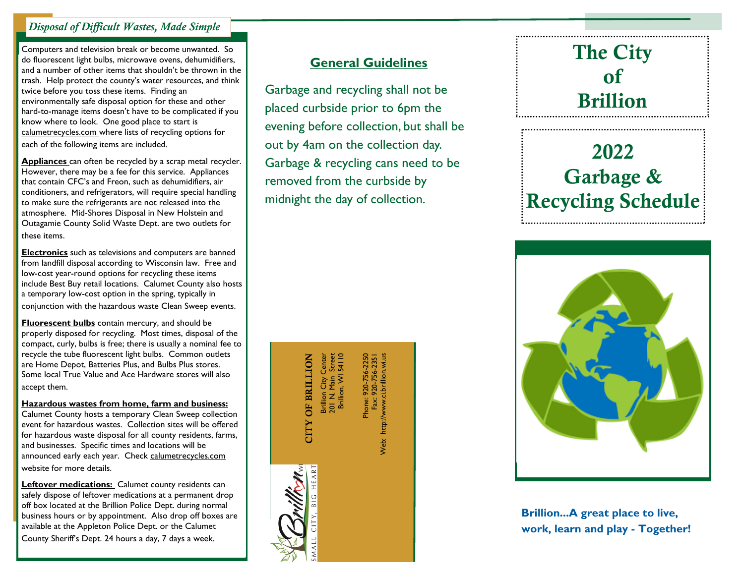### *Disposal of Difficult Wastes, Made Simple*

Computers and television break or become unwanted. So do fluorescent light bulbs, microwave ovens, dehumidifiers, and a number of other items that shouldn't be thrown in the trash. Help protect the county's water resources, and think twice before you toss these items. Finding an environmentally safe disposal option for these and other hard-to-manage items doesn't have to be complicated if you know where to look. One good place to start is calumetrecycles.com where lists of recycling options for each of the following items are included.

**Appliances** can often be recycled by a scrap metal recycler. However, there may be a fee for this service. Appliances that contain CFC's and Freon, such as dehumidifiers, air conditioners, and refrigerators, will require special handling to make sure the refrigerants are not released into the atmosphere. Mid-Shores Disposal in New Holstein and Outagamie County Solid Waste Dept. are two outlets for these items.

**Electronics** such as televisions and computers are banned from landfill disposal according to Wisconsin law. Free and low-cost year-round options for recycling these items include Best Buy retail locations. Calumet County also hosts a temporary low-cost option in the spring, typically in conjunction with the hazardous waste Clean Sweep events.

**Fluorescent bulbs** contain mercury, and should be properly disposed for recycling. Most times, disposal of the compact, curly, bulbs is free; there is usually a nominal fee to recycle the tube fluorescent light bulbs. Common outlets are Home Depot, Batteries Plus, and Bulbs Plus stores. Some local True Value and Ace Hardware stores will also accept them.

**Hazardous wastes from home, farm and business:**

Calumet County hosts a temporary Clean Sweep collection event for hazardous wastes. Collection sites will be offered for hazardous waste disposal for all county residents, farms, and businesses. Specific times and locations will be announced early each year. Check calumetrecycles.com website for more details.

**Leftover medications:** Calumet county residents can safely dispose of leftover medications at a permanent drop off box located at the Brillion Police Dept. during normal business hours or by appointment. Also drop off boxes are available at the Appleton Police Dept. or the Calumet County Sheriff's Dept. 24 hours a day, 7 days a week.

### **General Guidelines**

Garbage and recycling shall not be placed curbside prior to 6pm the evening before collection, but shall be out by 4am on the collection day. Garbage & recycling cans need to be removed from the curbside by midnight the day of collection.

> **CITY OF BRILLION** Brillion City Center CITY OF BRILLION

Brillion City Center<br>201 N. Main Street<br>Brillion, WI 54110 201 N. Main Street Brillion, WI 54110

Phone: 920-756-2250<br>Fax: 920-756-2351 Phone: 920-756-2250 Web: http://www.ci.brillion.wi.us Fax: 920-756-2351 Neb: http://www.ci.brillion.wi.us

### **The City of Brillion**

# **2022 Garbage & Recycling Schedule**



**Brillion...A great place to live, work, learn and play - Together!**